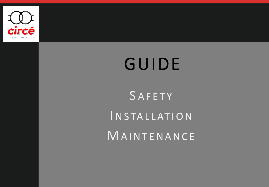

# GUIDE

## **SAFETY** I N S TA L L AT I O N **MAINTENANCE**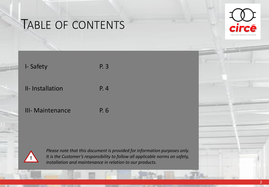### TABLE OF CONTENTS



| I-Safety        | P. 3 |
|-----------------|------|
| II-Installation | P. 4 |

III- Maintenance P. 6

**!**

*Please note that this document is provided for information purposes only. It is the Customer's responsibility to follow all applicable norms on safety, installation and maintenance in relation to our products.*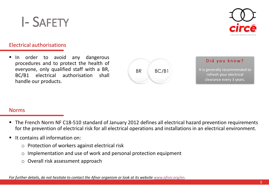

### Electrical authorisations

I- SAFETY

■ In order to avoid any dangerous procedures and to protect the health of everyone, only qualified staff with a BR, BC/B1 electrical authorisation shall handle our products.



#### Did you know?

It is generally recommended to refresh your electrical clearance every 3 years.

#### Norms

- The French Norm NF C18-510 standard of January 2012 defines all electrical hazard prevention requirements for the prevention of electrical risk for all electrical operations and installations in an electrical environment.
- It contains all information on:
	- o Protection of workers against electrical risk
	- o Implementation and use of work and personal protection equipment
	- o Overall risk assessment approach

*For further details, do not hesitate to contact the Afnor organism or look at its website [www.afnor.org/en.](http://www.afnor.org/en)*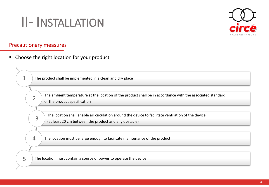### II- INSTALLATION



#### Precautionary measures

2

3

4

5

1

■ Choose the right location for your product

The product shall be implemented in a clean and dry place

The ambient temperature at the location of the product shall be in accordance with the associated standard or the product specification

The location shall enable air circulation around the device to facilitate ventilation of the device (at least 20 cm between the product and any obstacle)

The location must be large enough to facilitate maintenance of the product

The location must contain a source of power to operate the device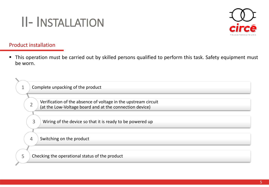## II- INSTALLATION



### Product installation

2

5

■ This operation must be carried out by skilled persons qualified to perform this task. Safety equipment must be worn.

Complete unpacking of the product 1

> Verification of the absence of voltage in the upstream circuit (at the Low-Voltage board and at the connection device)

Wiring of the device so that it is ready to be powered up 3

#### Switching on the product 4

Checking the operational status of the product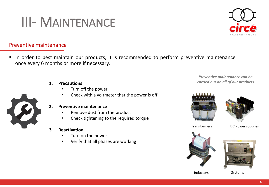## III- MAINTENANCE



#### Preventive maintenance

- In order to best maintain our products, it is recommended to perform preventive maintenance once every 6 months or more if necessary.
	- **1. Precautions**
		- Turn off the power
		- Check with a voltmeter that the power is off



#### **2. Preventive maintenance**

- Remove dust from the product
- Check tightening to the required torque
- **3. Reactivation**
	- Turn on the power
	- Verify that all phases are working

*Preventive maintenance can be carried out on all of our products*





Transformers

DC Power supplies





Systems